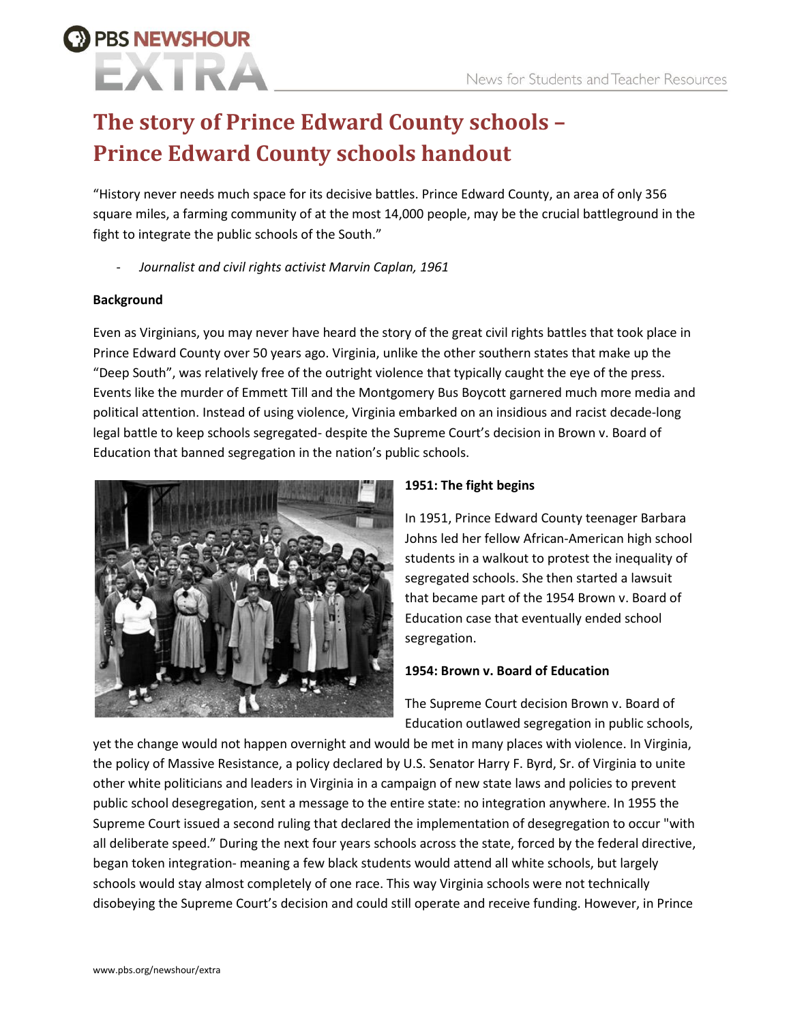### **The story of Prince Edward County schools – Prince Edward County schools handout**

"History never needs much space for its decisive battles. Prince Edward County, an area of only 356 square miles, a farming community of at the most 14,000 people, may be the crucial battleground in the fight to integrate the public schools of the South."

- *Journalist and civil rights activist Marvin Caplan, 1961*

#### **Background**

**PBS NEWSHOUR** 

Even as Virginians, you may never have heard the story of the great civil rights battles that took place in Prince Edward County over 50 years ago. Virginia, unlike the other southern states that make up the "Deep South", was relatively free of the outright violence that typically caught the eye of the press. Events like the murder of Emmett Till and the Montgomery Bus Boycott garnered much more media and political attention. Instead of using violence, Virginia embarked on an insidious and racist decade-long legal battle to keep schools segregated- despite the Supreme Court's decision in Brown v. Board of Education that banned segregation in the nation's public schools.



#### **1951: The fight begins**

In 1951, Prince Edward County teenager Barbara Johns led her fellow African-American high school students in a walkout to protest the inequality of segregated schools. She then started a lawsuit that became part of the 1954 Brown v. Board of Education case that eventually ended school segregation.

#### **1954: Brown v. Board of Education**

The Supreme Court decision Brown v. Board of Education outlawed segregation in public schools,

yet the change would not happen overnight and would be met in many places with violence. In Virginia, the policy of Massive Resistance, a policy declared by U.S. Senator Harry F. Byrd, Sr. of Virginia to unite other white politicians and leaders in Virginia in a campaign of new state laws and policies to prevent public school desegregation, sent a message to the entire state: no integration anywhere. In 1955 the Supreme Court issued a second ruling that declared the implementation of desegregation to occur "with all deliberate speed." During the next four years schools across the state, forced by the federal directive, began token integration- meaning a few black students would attend all white schools, but largely schools would stay almost completely of one race. This way Virginia schools were not technically disobeying the Supreme Court's decision and could still operate and receive funding. However, in Prince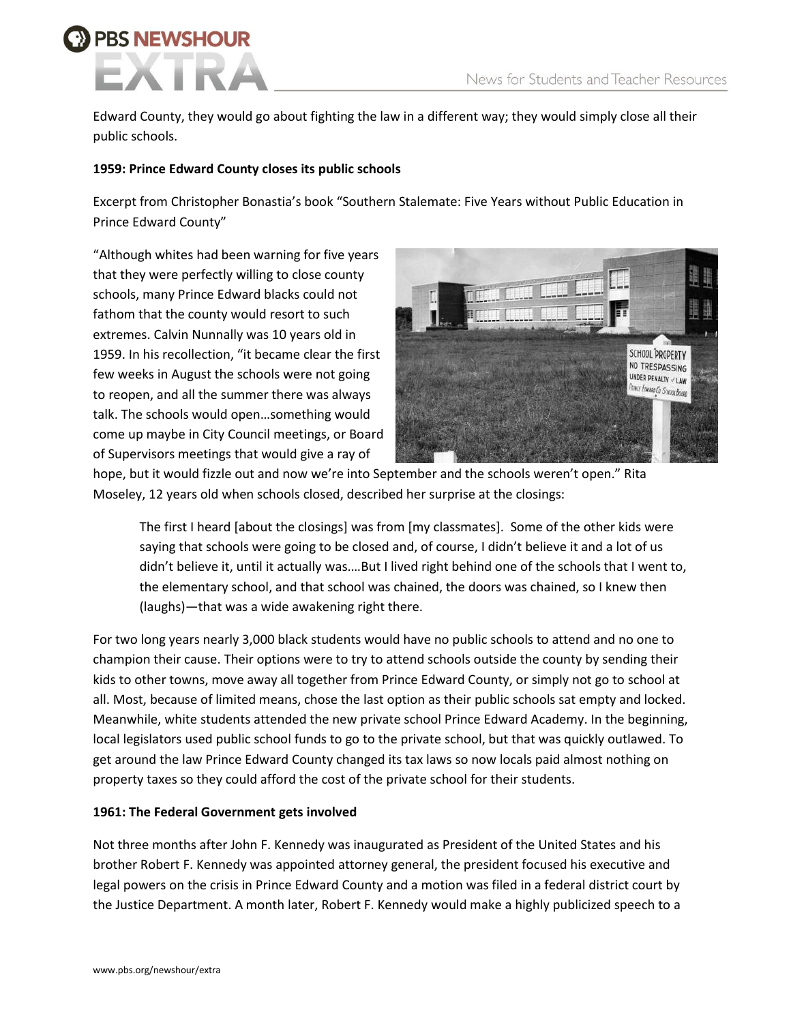# **BS NEWSHOUR**

Edward County, they would go about fighting the law in a different way; they would simply close all their public schools.

#### **1959: Prince Edward County closes its public schools**

Excerpt from Christopher Bonastia's book "Southern Stalemate: Five Years without Public Education in Prince Edward County"

"Although whites had been warning for five years that they were perfectly willing to close county schools, many Prince Edward blacks could not fathom that the county would resort to such extremes. Calvin Nunnally was 10 years old in 1959. In his recollection, "it became clear the first few weeks in August the schools were not going to reopen, and all the summer there was always talk. The schools would open…something would come up maybe in City Council meetings, or Board of Supervisors meetings that would give a ray of



hope, but it would fizzle out and now we're into September and the schools weren't open." Rita Moseley, 12 years old when schools closed, described her surprise at the closings:

The first I heard [about the closings] was from [my classmates]. Some of the other kids were saying that schools were going to be closed and, of course, I didn't believe it and a lot of us didn't believe it, until it actually was.…But I lived right behind one of the schools that I went to, the elementary school, and that school was chained, the doors was chained, so I knew then (laughs)—that was a wide awakening right there.

For two long years nearly 3,000 black students would have no public schools to attend and no one to champion their cause. Their options were to try to attend schools outside the county by sending their kids to other towns, move away all together from Prince Edward County, or simply not go to school at all. Most, because of limited means, chose the last option as their public schools sat empty and locked. Meanwhile, white students attended the new private school Prince Edward Academy. In the beginning, local legislators used public school funds to go to the private school, but that was quickly outlawed. To get around the law Prince Edward County changed its tax laws so now locals paid almost nothing on property taxes so they could afford the cost of the private school for their students.

#### **1961: The Federal Government gets involved**

Not three months after John F. Kennedy was inaugurated as President of the United States and his brother Robert F. Kennedy was appointed attorney general, the president focused his executive and legal powers on the crisis in Prince Edward County and a motion was filed in a federal district court by the Justice Department. A month later, Robert F. Kennedy would make a highly publicized speech to a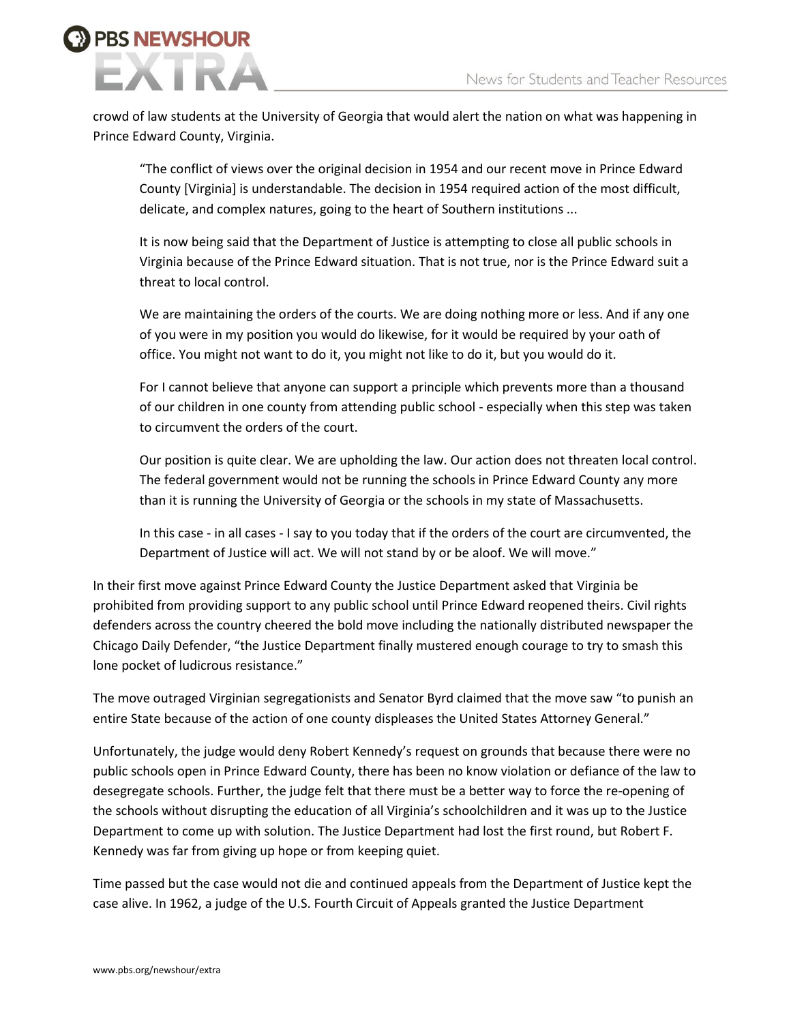# **BS NEWSHOUR**

crowd of law students at the University of Georgia that would alert the nation on what was happening in Prince Edward County, Virginia.

"The conflict of views over the original decision in 1954 and our recent move in Prince Edward County [Virginia] is understandable. The decision in 1954 required action of the most difficult, delicate, and complex natures, going to the heart of Southern institutions ...

It is now being said that the Department of Justice is attempting to close all public schools in Virginia because of the Prince Edward situation. That is not true, nor is the Prince Edward suit a threat to local control.

We are maintaining the orders of the courts. We are doing nothing more or less. And if any one of you were in my position you would do likewise, for it would be required by your oath of office. You might not want to do it, you might not like to do it, but you would do it.

For I cannot believe that anyone can support a principle which prevents more than a thousand of our children in one county from attending public school - especially when this step was taken to circumvent the orders of the court.

Our position is quite clear. We are upholding the law. Our action does not threaten local control. The federal government would not be running the schools in Prince Edward County any more than it is running the University of Georgia or the schools in my state of Massachusetts.

In this case - in all cases - I say to you today that if the orders of the court are circumvented, the Department of Justice will act. We will not stand by or be aloof. We will move."

In their first move against Prince Edward County the Justice Department asked that Virginia be prohibited from providing support to any public school until Prince Edward reopened theirs. Civil rights defenders across the country cheered the bold move including the nationally distributed newspaper the Chicago Daily Defender, "the Justice Department finally mustered enough courage to try to smash this lone pocket of ludicrous resistance."

The move outraged Virginian segregationists and Senator Byrd claimed that the move saw "to punish an entire State because of the action of one county displeases the United States Attorney General."

Unfortunately, the judge would deny Robert Kennedy's request on grounds that because there were no public schools open in Prince Edward County, there has been no know violation or defiance of the law to desegregate schools. Further, the judge felt that there must be a better way to force the re-opening of the schools without disrupting the education of all Virginia's schoolchildren and it was up to the Justice Department to come up with solution. The Justice Department had lost the first round, but Robert F. Kennedy was far from giving up hope or from keeping quiet.

Time passed but the case would not die and continued appeals from the Department of Justice kept the case alive. In 1962, a judge of the U.S. Fourth Circuit of Appeals granted the Justice Department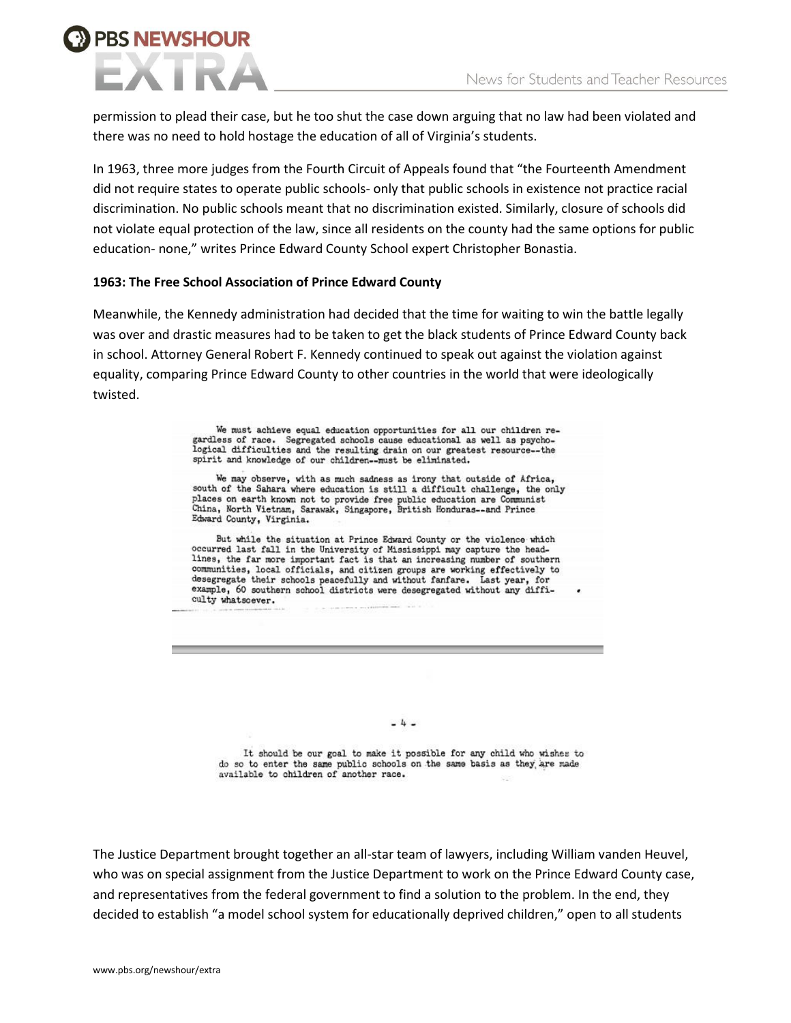## **PBS NEWSHOUR**

permission to plead their case, but he too shut the case down arguing that no law had been violated and there was no need to hold hostage the education of all of Virginia's students.

In 1963, three more judges from the Fourth Circuit of Appeals found that "the Fourteenth Amendment did not require states to operate public schools- only that public schools in existence not practice racial discrimination. No public schools meant that no discrimination existed. Similarly, closure of schools did not violate equal protection of the law, since all residents on the county had the same options for public education- none," writes Prince Edward County School expert Christopher Bonastia.

#### **1963: The Free School Association of Prince Edward County**

Meanwhile, the Kennedy administration had decided that the time for waiting to win the battle legally was over and drastic measures had to be taken to get the black students of Prince Edward County back in school. Attorney General Robert F. Kennedy continued to speak out against the violation against equality, comparing Prince Edward County to other countries in the world that were ideologically twisted.

> We must achieve equal education opportunities for all our children regardless of race. Segregated schools cause educational as well as psychological difficulties and the resulting drain on our greatest resource--the spirit and knowledge of our children--must be eliminated.

We may observe, with as much sadness as irony that outside of Africa, south of the Sahara where education is still a difficult challenge, the only places on earth known not to provide free public education are Communist<br>China, North Vietnam, Sarawak, Singapore, British Honduras-and Prince Edward County, Virginia.

But while the situation at Prince Edward County or the violence which occurred last fall in the University of Mississippi may capture the headlines, the far more important fact is that an increasing number of southern communities, local officials, and citizen groups are working effectively to desegregate their schools peacefully and without fanfare. Last year, for example, 60 southern school districts were desegregated without any difficulty whatsoever.

 $-4-$ 

It should be our goal to make it possible for any child who wishes to do so to enter the same public schools on the same basis as they are made available to children of another race.

The Justice Department brought together an all-star team of lawyers, including William vanden Heuvel, who was on special assignment from the Justice Department to work on the Prince Edward County case, and representatives from the federal government to find a solution to the problem. In the end, they decided to establish "a model school system for educationally deprived children," open to all students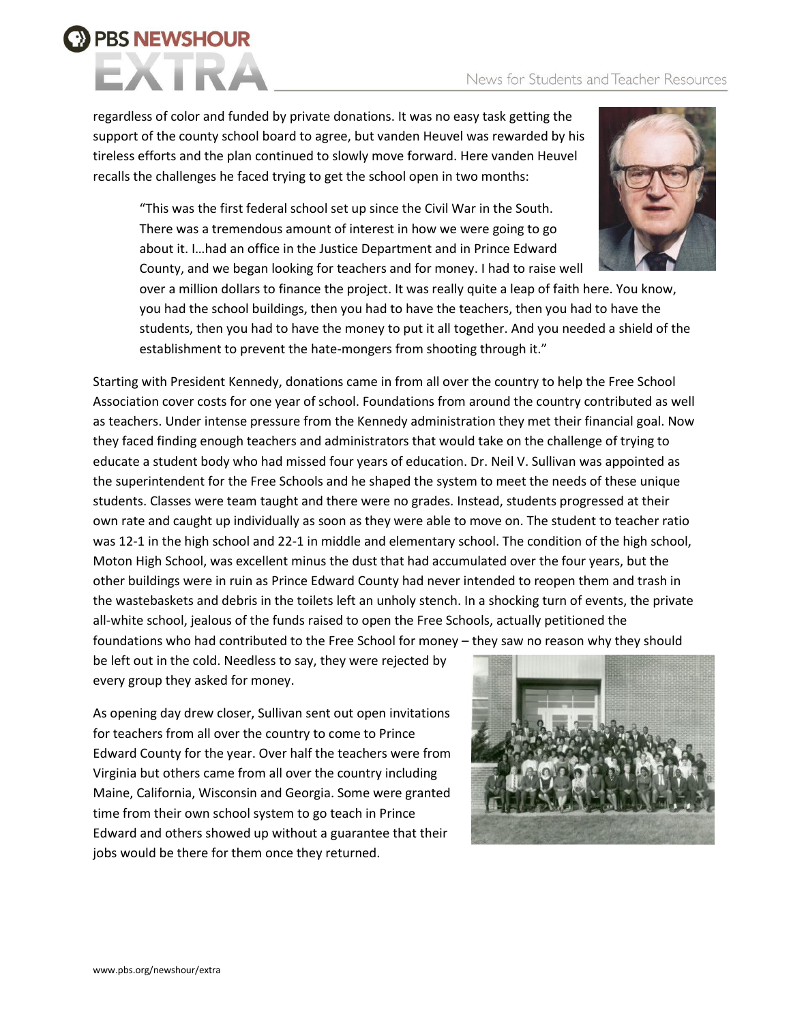#### News for Students and Teacher Resources



regardless of color and funded by private donations. It was no easy task getting the support of the county school board to agree, but vanden Heuvel was rewarded by his tireless efforts and the plan continued to slowly move forward. Here vanden Heuvel recalls the challenges he faced trying to get the school open in two months:

"This was the first federal school set up since the Civil War in the South. There was a tremendous amount of interest in how we were going to go about it. I…had an office in the Justice Department and in Prince Edward County, and we began looking for teachers and for money. I had to raise well



over a million dollars to finance the project. It was really quite a leap of faith here. You know, you had the school buildings, then you had to have the teachers, then you had to have the students, then you had to have the money to put it all together. And you needed a shield of the establishment to prevent the hate-mongers from shooting through it."

Starting with President Kennedy, donations came in from all over the country to help the Free School Association cover costs for one year of school. Foundations from around the country contributed as well as teachers. Under intense pressure from the Kennedy administration they met their financial goal. Now they faced finding enough teachers and administrators that would take on the challenge of trying to educate a student body who had missed four years of education. Dr. Neil V. Sullivan was appointed as the superintendent for the Free Schools and he shaped the system to meet the needs of these unique students. Classes were team taught and there were no grades. Instead, students progressed at their own rate and caught up individually as soon as they were able to move on. The student to teacher ratio was 12-1 in the high school and 22-1 in middle and elementary school. The condition of the high school, Moton High School, was excellent minus the dust that had accumulated over the four years, but the other buildings were in ruin as Prince Edward County had never intended to reopen them and trash in the wastebaskets and debris in the toilets left an unholy stench. In a shocking turn of events, the private all-white school, jealous of the funds raised to open the Free Schools, actually petitioned the foundations who had contributed to the Free School for money – they saw no reason why they should

be left out in the cold. Needless to say, they were rejected by every group they asked for money.

As opening day drew closer, Sullivan sent out open invitations for teachers from all over the country to come to Prince Edward County for the year. Over half the teachers were from Virginia but others came from all over the country including Maine, California, Wisconsin and Georgia. Some were granted time from their own school system to go teach in Prince Edward and others showed up without a guarantee that their jobs would be there for them once they returned.